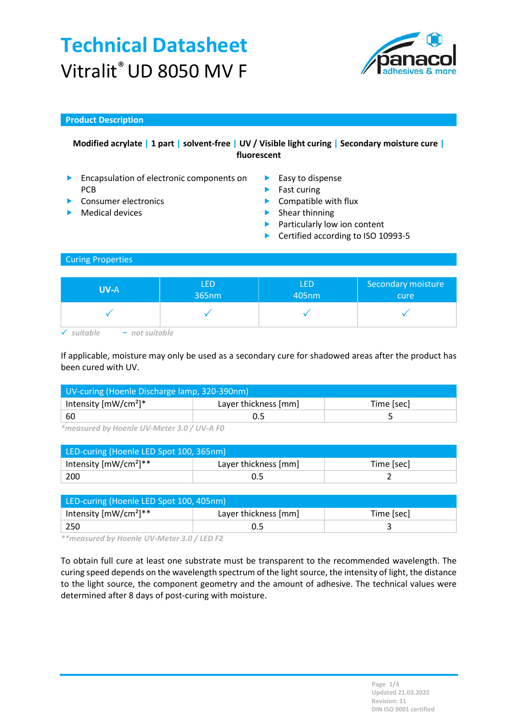

### Product Description

### Modified acrylate | 1 part | solvent-free | UV / Visible light curing | Secondary moisture cure | fluorescent

- **Encapsulation of electronic components on** PCB
- 
- 
- $\blacktriangleright$  Easy to dispense
- $\blacktriangleright$  Fast curing
- Consumer electronics **Compatible with flux**
- Medical devices  $\qquad \qquad$  Shear thinning
	- **Particularly low ion content**
	- ▶ Certified according to ISO 10993-5

#### Curing Properties

| <b>UV-A</b>             | LED<br>365nm | <b>LED</b><br>405nm | Secondary moisture<br>cure |
|-------------------------|--------------|---------------------|----------------------------|
|                         |              |                     |                            |
| - not suitable<br>itabl |              |                     |                            |

If applicable, moisture may only be used as a secondary cure for shadowed areas after the product has been cured with UV.

| UV-curing (Hoenle Discharge lamp, 320-390nm) |                      |            |  |
|----------------------------------------------|----------------------|------------|--|
| Intensity $[mW/cm^2]^*$                      | Layer thickness [mm] | Time [sec] |  |
| $^+$ 60                                      |                      |            |  |

\*measured by Hoenle UV-Meter 3.0 / UV-A F0

| LED-curing (Hoenle LED Spot 100, 365nm) |                      |            |  |
|-----------------------------------------|----------------------|------------|--|
| Intensity [mW/cm <sup>2</sup> ]**       | Layer thickness [mm] | Time [sec] |  |
| 200                                     |                      |            |  |

| LED-curing (Hoenle LED Spot 100, 405nm) |                      |            |  |
|-----------------------------------------|----------------------|------------|--|
| Intensity $[mW/cm^2]^{**}$              | Layer thickness [mm] | Time [sec] |  |
| 250                                     |                      |            |  |

\*\*measured by Hoenle UV-Meter 3.0 / LED F2

To obtain full cure at least one substrate must be transparent to the recommended wavelength. The curing speed depends on the wavelength spectrum of the light source, the intensity of light, the distance to the light source, the component geometry and the amount of adhesive. The technical values were determined after 8 days of post-curing with moisture.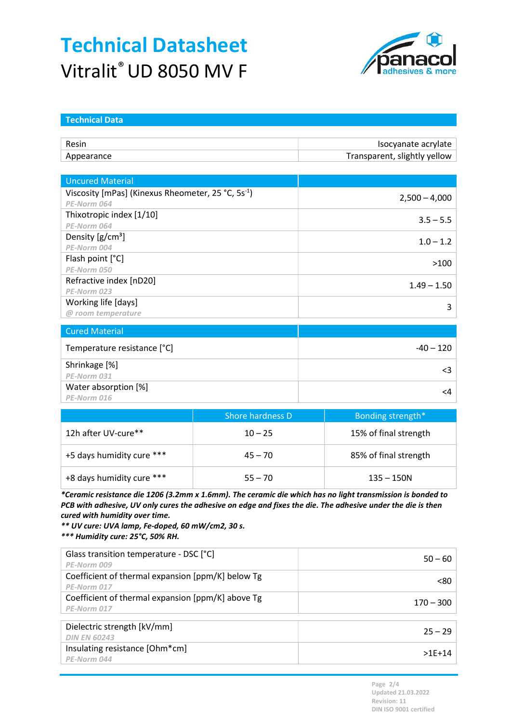

| <b>Technical Data</b>                                          |                  |                              |
|----------------------------------------------------------------|------------------|------------------------------|
|                                                                |                  |                              |
| Resin                                                          |                  | Isocyanate acrylate          |
| Appearance                                                     |                  | Transparent, slightly yellow |
|                                                                |                  |                              |
| <b>Uncured Material</b>                                        |                  |                              |
| Viscosity [mPas] (Kinexus Rheometer, 25 °C, 5s <sup>-1</sup> ) |                  |                              |
| PE-Norm 064                                                    |                  | $2,500 - 4,000$              |
| Thixotropic index [1/10]                                       |                  | $3.5 - 5.5$                  |
| PE-Norm 064                                                    |                  |                              |
| Density $[g/cm^3]$                                             |                  | $1.0 - 1.2$                  |
| PE-Norm 004                                                    |                  |                              |
| Flash point [°C]                                               |                  | >100                         |
| PE-Norm 050                                                    |                  |                              |
| Refractive index [nD20]                                        |                  | $1.49 - 1.50$                |
| PE-Norm 023                                                    |                  |                              |
| Working life [days]                                            |                  | 3                            |
| @ room temperature                                             |                  |                              |
| <b>Cured Material</b>                                          |                  |                              |
| Temperature resistance [°C]                                    |                  | $-40 - 120$                  |
| Shrinkage [%]                                                  |                  |                              |
| PE-Norm 031                                                    |                  | $\leq$ 3                     |
| Water absorption [%]                                           |                  | $\leq 4$                     |
| PE-Norm 016                                                    |                  |                              |
|                                                                | Shore hardness D | Bonding strength*            |
|                                                                |                  |                              |

|                           | Shore nardness D | Bonding strength      |
|---------------------------|------------------|-----------------------|
| 12h after UV-cure**       | $10 - 25$        | 15% of final strength |
| +5 days humidity cure *** | $45 - 70$        | 85% of final strength |
| +8 days humidity cure *** | $55 - 70$        | $135 - 150N$          |

\*Ceramic resistance die 1206 (3.2mm x 1.6mm). The ceramic die which has no light transmission is bonded to PCB with adhesive, UV only cures the adhesive on edge and fixes the die. The adhesive under the die is then cured with humidity over time.

\*\* UV cure: UVA lamp, Fe-doped, 60 mW/cm2, 30 s.

\*\*\* Humidity cure: 25°C, 50% RH.

| Glass transition temperature - DSC [°C]           | $50 - 60$   |
|---------------------------------------------------|-------------|
| PE-Norm 009                                       |             |
| Coefficient of thermal expansion [ppm/K] below Tg | <80         |
| PE-Norm 017                                       |             |
| Coefficient of thermal expansion [ppm/K] above Tg | $170 - 300$ |
| PE-Norm 017                                       |             |
|                                                   |             |
| Dielectric strength [kV/mm]                       | $25 - 29$   |
| <b>DIN EN 60243</b>                               |             |
| Insulating resistance [Ohm*cm]                    | $>1E+14$    |
| PE-Norm 044                                       |             |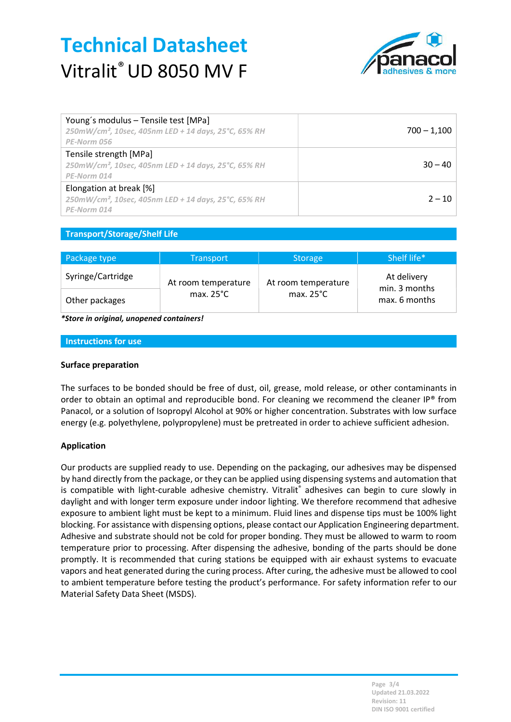

| Young's modulus - Tensile test [MPa]<br>250mW/cm <sup>2</sup> , 10sec, 405nm LED + 14 days, 25°C, 65% RH<br>PE-Norm 056 | $700 - 1,100$ |
|-------------------------------------------------------------------------------------------------------------------------|---------------|
| Tensile strength [MPa]<br>250mW/cm <sup>2</sup> , 10sec, 405nm LED + 14 days, 25°C, 65% RH<br>PE-Norm 014               | $30 - 40$     |
| Elongation at break [%]<br>$250$ mW/cm <sup>2</sup> , 10sec, 405nm LED + 14 days, 25°C, 65% RH<br>PE-Norm 014           | $2 - 10$      |

### Transport/Storage/Shelf Life

| Package type      | <b>Transport</b>    | <b>Storage</b>      | Shelf life*                  |
|-------------------|---------------------|---------------------|------------------------------|
| Syringe/Cartridge | At room temperature | At room temperature | At delivery<br>min. 3 months |
| Other packages    | max. $25^{\circ}$ C | max. $25^{\circ}$ C | max. 6 months                |

\*Store in original, unopened containers!

#### Instructions for use

#### Surface preparation

The surfaces to be bonded should be free of dust, oil, grease, mold release, or other contaminants in order to obtain an optimal and reproducible bond. For cleaning we recommend the cleaner IP® from Panacol, or a solution of Isopropyl Alcohol at 90% or higher concentration. Substrates with low surface energy (e.g. polyethylene, polypropylene) must be pretreated in order to achieve sufficient adhesion.

#### Application

Our products are supplied ready to use. Depending on the packaging, our adhesives may be dispensed by hand directly from the package, or they can be applied using dispensing systems and automation that is compatible with light-curable adhesive chemistry. Vitralit® adhesives can begin to cure slowly in daylight and with longer term exposure under indoor lighting. We therefore recommend that adhesive exposure to ambient light must be kept to a minimum. Fluid lines and dispense tips must be 100% light blocking. For assistance with dispensing options, please contact our Application Engineering department. Adhesive and substrate should not be cold for proper bonding. They must be allowed to warm to room temperature prior to processing. After dispensing the adhesive, bonding of the parts should be done promptly. It is recommended that curing stations be equipped with air exhaust systems to evacuate vapors and heat generated during the curing process. After curing, the adhesive must be allowed to cool to ambient temperature before testing the product's performance. For safety information refer to our Material Safety Data Sheet (MSDS).